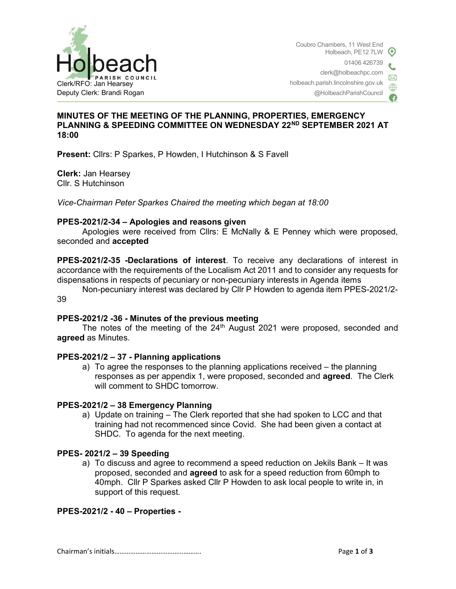

### MINUTES OF THE MEETING OF THE PLANNING, PROPERTIES, EMERGENCY PLANNING & SPEEDING COMMITTEE ON WEDNESDAY 22ND SEPTEMBER 2021 AT 18:00

Present: Cllrs: P Sparkes, P Howden, I Hutchinson & S Favell

Clerk: Jan Hearsey Cllr. S Hutchinson

Vice-Chairman Peter Sparkes Chaired the meeting which began at 18:00

#### PPES-2021/2-34 – Apologies and reasons given

Apologies were received from Cllrs: E McNally & E Penney which were proposed, seconded and accepted

PPES-2021/2-35 -Declarations of interest. To receive any declarations of interest in accordance with the requirements of the Localism Act 2011 and to consider any requests for dispensations in respects of pecuniary or non-pecuniary interests in Agenda items

 Non-pecuniary interest was declared by Cllr P Howden to agenda item PPES-2021/2- 39

#### PPES-2021/2 -36 - Minutes of the previous meeting

The notes of the meeting of the 24<sup>th</sup> August 2021 were proposed, seconded and agreed as Minutes.

#### PPES-2021/2 – 37 - Planning applications

a) To agree the responses to the planning applications received – the planning responses as per appendix 1, were proposed, seconded and agreed. The Clerk will comment to SHDC tomorrow.

#### PPES-2021/2 – 38 Emergency Planning

a) Update on training – The Clerk reported that she had spoken to LCC and that training had not recommenced since Covid. She had been given a contact at SHDC. To agenda for the next meeting.

#### PPES- 2021/2 – 39 Speeding

a) To discuss and agree to recommend a speed reduction on Jekils Bank – It was proposed, seconded and agreed to ask for a speed reduction from 60mph to 40mph. Cllr P Sparkes asked Cllr P Howden to ask local people to write in, in support of this request.

PPES-2021/2 - 40 – Properties -

Chairman's initials…………………………………………. Page 1 of 3